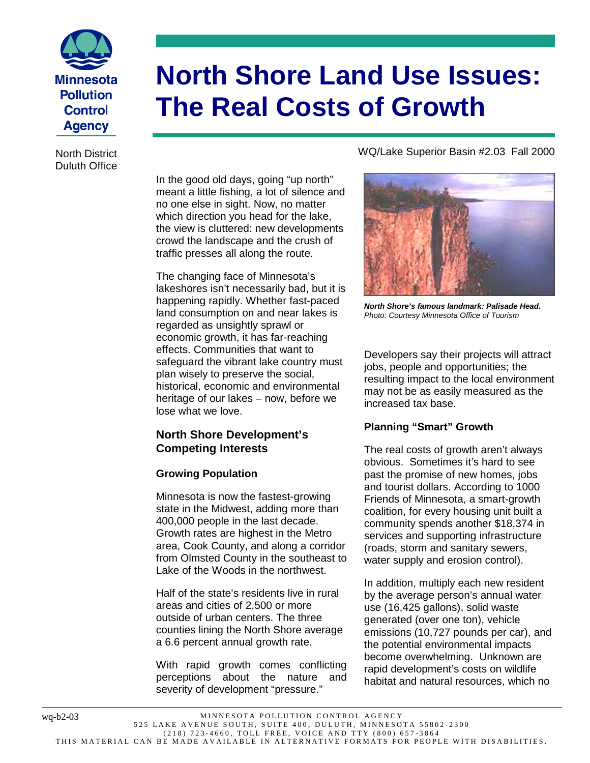

**North Shore Land Use Issues: The Real Costs of Growth**

North District Duluth Office

> In the good old days, going "up north" meant a little fishing, a lot of silence and no one else in sight. Now, no matter which direction you head for the lake, the view is cluttered: new developments crowd the landscape and the crush of traffic presses all along the route.

> The changing face of Minnesota's lakeshores isn't necessarily bad, but it is happening rapidly. Whether fast-paced land consumption on and near lakes is regarded as unsightly sprawl or economic growth, it has far-reaching effects. Communities that want to safeguard the vibrant lake country must plan wisely to preserve the social, historical, economic and environmental heritage of our lakes – now, before we lose what we love.

## **North Shore Development's Competing Interests**

## **Growing Population**

Minnesota is now the fastest-growing state in the Midwest, adding more than 400,000 people in the last decade. Growth rates are highest in the Metro area, Cook County, and along a corridor from Olmsted County in the southeast to Lake of the Woods in the northwest.

Half of the state's residents live in rural areas and cities of 2,500 or more outside of urban centers. The three counties lining the North Shore average a 6.6 percent annual growth rate.

With rapid growth comes conflicting perceptions about the nature and severity of development "pressure."

## WQ/Lake Superior Basin #2.03 Fall 2000



*North Shore's famous landmark: Palisade Head. Photo: Courtesy Minnesota Office of Tourism*

Developers say their projects will attract jobs, people and opportunities; the resulting impact to the local environment may not be as easily measured as the increased tax base.

# **Planning "Smart" Growth**

The real costs of growth aren't always obvious. Sometimes it's hard to see past the promise of new homes, jobs and tourist dollars. According to 1000 Friends of Minnesota, a smart-growth coalition, for every housing unit built a community spends another \$18,374 in services and supporting infrastructure (roads, storm and sanitary sewers, water supply and erosion control).

In addition, multiply each new resident by the average person's annual water use (16,425 gallons), solid waste generated (over one ton), vehicle emissions (10,727 pounds per car), and the potential environmental impacts become overwhelming. Unknown are rapid development's costs on wildlife habitat and natural resources, which no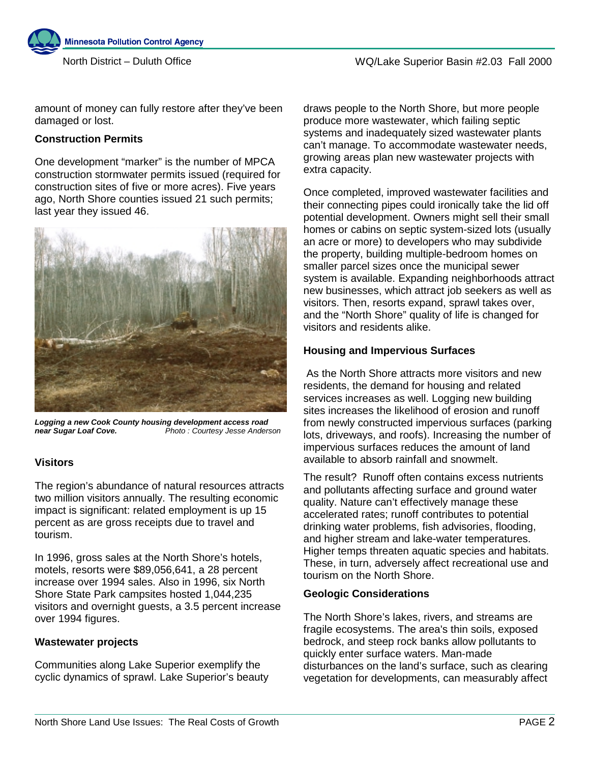

amount of money can fully restore after they've been damaged or lost.

### **Construction Permits**

One development "marker" is the number of MPCA construction stormwater permits issued (required for construction sites of five or more acres). Five years ago, North Shore counties issued 21 such permits; last year they issued 46.



*Logging a new Cook County housing development access road near Sugar Loaf Cove. Photo : Courtesy Jesse Anderson*

## **Visitors**

The region's abundance of natural resources attracts two million visitors annually. The resulting economic impact is significant: related employment is up 15 percent as are gross receipts due to travel and tourism.

In 1996, gross sales at the North Shore's hotels, motels, resorts were \$89,056,641, a 28 percent increase over 1994 sales. Also in 1996, six North Shore State Park campsites hosted 1,044,235 visitors and overnight guests, a 3.5 percent increase over 1994 figures.

### **Wastewater projects**

Communities along Lake Superior exemplify the cyclic dynamics of sprawl. Lake Superior's beauty draws people to the North Shore, but more people produce more wastewater, which failing septic systems and inadequately sized wastewater plants can't manage. To accommodate wastewater needs, growing areas plan new wastewater projects with extra capacity.

Once completed, improved wastewater facilities and their connecting pipes could ironically take the lid off potential development. Owners might sell their small homes or cabins on septic system-sized lots (usually an acre or more) to developers who may subdivide the property, building multiple-bedroom homes on smaller parcel sizes once the municipal sewer system is available. Expanding neighborhoods attract new businesses, which attract job seekers as well as visitors. Then, resorts expand, sprawl takes over, and the "North Shore" quality of life is changed for visitors and residents alike.

### **Housing and Impervious Surfaces**

 As the North Shore attracts more visitors and new residents, the demand for housing and related services increases as well. Logging new building sites increases the likelihood of erosion and runoff from newly constructed impervious surfaces (parking lots, driveways, and roofs). Increasing the number of impervious surfaces reduces the amount of land available to absorb rainfall and snowmelt.

The result? Runoff often contains excess nutrients and pollutants affecting surface and ground water quality. Nature can't effectively manage these accelerated rates; runoff contributes to potential drinking water problems, fish advisories, flooding, and higher stream and lake-water temperatures. Higher temps threaten aquatic species and habitats. These, in turn, adversely affect recreational use and tourism on the North Shore.

## **Geologic Considerations**

The North Shore's lakes, rivers, and streams are fragile ecosystems. The area's thin soils, exposed bedrock, and steep rock banks allow pollutants to quickly enter surface waters. Man-made disturbances on the land's surface, such as clearing vegetation for developments, can measurably affect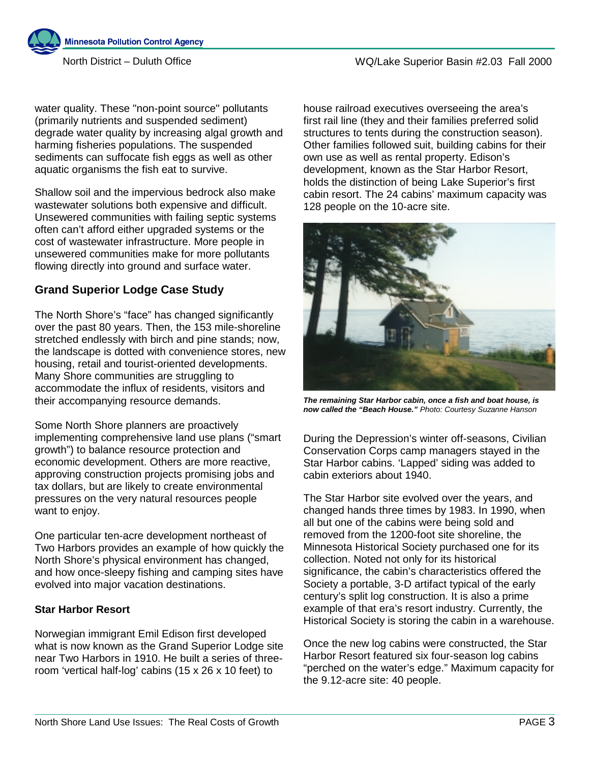**Minnesota Pollution Control Agency** 

water quality. These "non-point source" pollutants (primarily nutrients and suspended sediment) degrade water quality by increasing algal growth and harming fisheries populations. The suspended sediments can suffocate fish eggs as well as other aquatic organisms the fish eat to survive.

Shallow soil and the impervious bedrock also make wastewater solutions both expensive and difficult. Unsewered communities with failing septic systems often can't afford either upgraded systems or the cost of wastewater infrastructure. More people in unsewered communities make for more pollutants flowing directly into ground and surface water.

# **Grand Superior Lodge Case Study**

The North Shore's "face" has changed significantly over the past 80 years. Then, the 153 mile-shoreline stretched endlessly with birch and pine stands; now, the landscape is dotted with convenience stores, new housing, retail and tourist-oriented developments. Many Shore communities are struggling to accommodate the influx of residents, visitors and their accompanying resource demands.

Some North Shore planners are proactively implementing comprehensive land use plans ("smart growth") to balance resource protection and economic development. Others are more reactive, approving construction projects promising jobs and tax dollars, but are likely to create environmental pressures on the very natural resources people want to enjoy.

One particular ten-acre development northeast of Two Harbors provides an example of how quickly the North Shore's physical environment has changed, and how once-sleepy fishing and camping sites have evolved into major vacation destinations.

### **Star Harbor Resort**

Norwegian immigrant Emil Edison first developed what is now known as the Grand Superior Lodge site near Two Harbors in 1910. He built a series of threeroom 'vertical half-log' cabins (15 x 26 x 10 feet) to

house railroad executives overseeing the area's first rail line (they and their families preferred solid structures to tents during the construction season). Other families followed suit, building cabins for their own use as well as rental property. Edison's development, known as the Star Harbor Resort, holds the distinction of being Lake Superior's first cabin resort. The 24 cabins' maximum capacity was 128 people on the 10-acre site.



*The remaining Star Harbor cabin, once a fish and boat house, is now called the "Beach House." Photo: Courtesy Suzanne Hanson*

During the Depression's winter off-seasons, Civilian Conservation Corps camp managers stayed in the Star Harbor cabins. 'Lapped' siding was added to cabin exteriors about 1940.

The Star Harbor site evolved over the years, and changed hands three times by 1983. In 1990, when all but one of the cabins were being sold and removed from the 1200-foot site shoreline, the Minnesota Historical Society purchased one for its collection. Noted not only for its historical significance, the cabin's characteristics offered the Society a portable, 3-D artifact typical of the early century's split log construction. It is also a prime example of that era's resort industry. Currently, the Historical Society is storing the cabin in a warehouse.

Once the new log cabins were constructed, the Star Harbor Resort featured six four-season log cabins "perched on the water's edge." Maximum capacity for the 9.12-acre site: 40 people.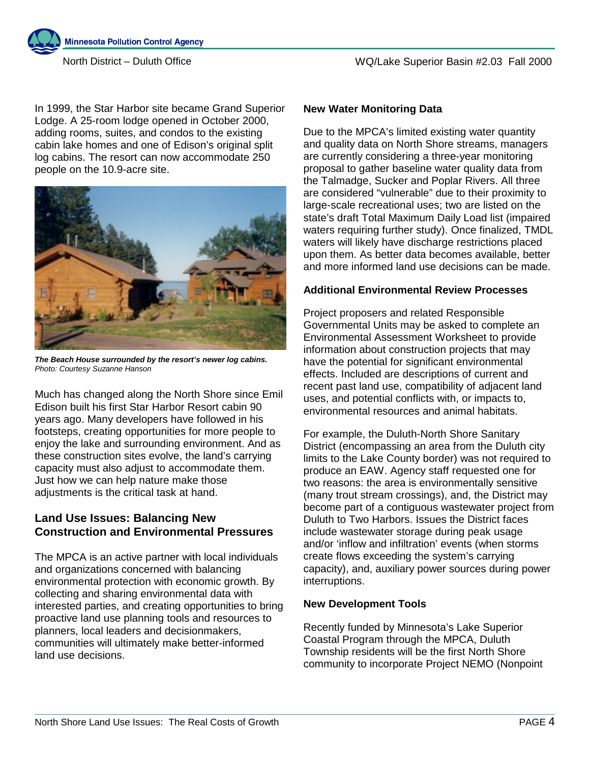

**Minnesota Pollution Control Agency** 

In 1999, the Star Harbor site became Grand Superior Lodge. A 25-room lodge opened in October 2000, adding rooms, suites, and condos to the existing cabin lake homes and one of Edison's original split log cabins. The resort can now accommodate 250 people on the 10.9-acre site.



*The Beach House surrounded by the resort's newer log cabins. Photo: Courtesy Suzanne Hanson*

Much has changed along the North Shore since Emil Edison built his first Star Harbor Resort cabin 90 years ago. Many developers have followed in his footsteps, creating opportunities for more people to enjoy the lake and surrounding environment. And as these construction sites evolve, the land's carrying capacity must also adjust to accommodate them. Just how we can help nature make those adjustments is the critical task at hand.

# **Land Use Issues: Balancing New Construction and Environmental Pressures**

The MPCA is an active partner with local individuals and organizations concerned with balancing environmental protection with economic growth. By collecting and sharing environmental data with interested parties, and creating opportunities to bring proactive land use planning tools and resources to planners, local leaders and decisionmakers, communities will ultimately make better-informed land use decisions.

### **New Water Monitoring Data**

Due to the MPCA's limited existing water quantity and quality data on North Shore streams, managers are currently considering a three-year monitoring proposal to gather baseline water quality data from the Talmadge, Sucker and Poplar Rivers. All three are considered "vulnerable" due to their proximity to large-scale recreational uses; two are listed on the state's draft Total Maximum Daily Load list (impaired waters requiring further study). Once finalized, TMDL waters will likely have discharge restrictions placed upon them. As better data becomes available, better and more informed land use decisions can be made.

#### **Additional Environmental Review Processes**

Project proposers and related Responsible Governmental Units may be asked to complete an Environmental Assessment Worksheet to provide information about construction projects that may have the potential for significant environmental effects. Included are descriptions of current and recent past land use, compatibility of adjacent land uses, and potential conflicts with, or impacts to, environmental resources and animal habitats.

For example, the Duluth-North Shore Sanitary District (encompassing an area from the Duluth city limits to the Lake County border) was not required to produce an EAW. Agency staff requested one for two reasons: the area is environmentally sensitive (many trout stream crossings), and, the District may become part of a contiguous wastewater project from Duluth to Two Harbors. Issues the District faces include wastewater storage during peak usage and/or 'inflow and infiltration' events (when storms create flows exceeding the system's carrying capacity), and, auxiliary power sources during power interruptions.

### **New Development Tools**

Recently funded by Minnesota's Lake Superior Coastal Program through the MPCA, Duluth Township residents will be the first North Shore community to incorporate Project NEMO (Nonpoint